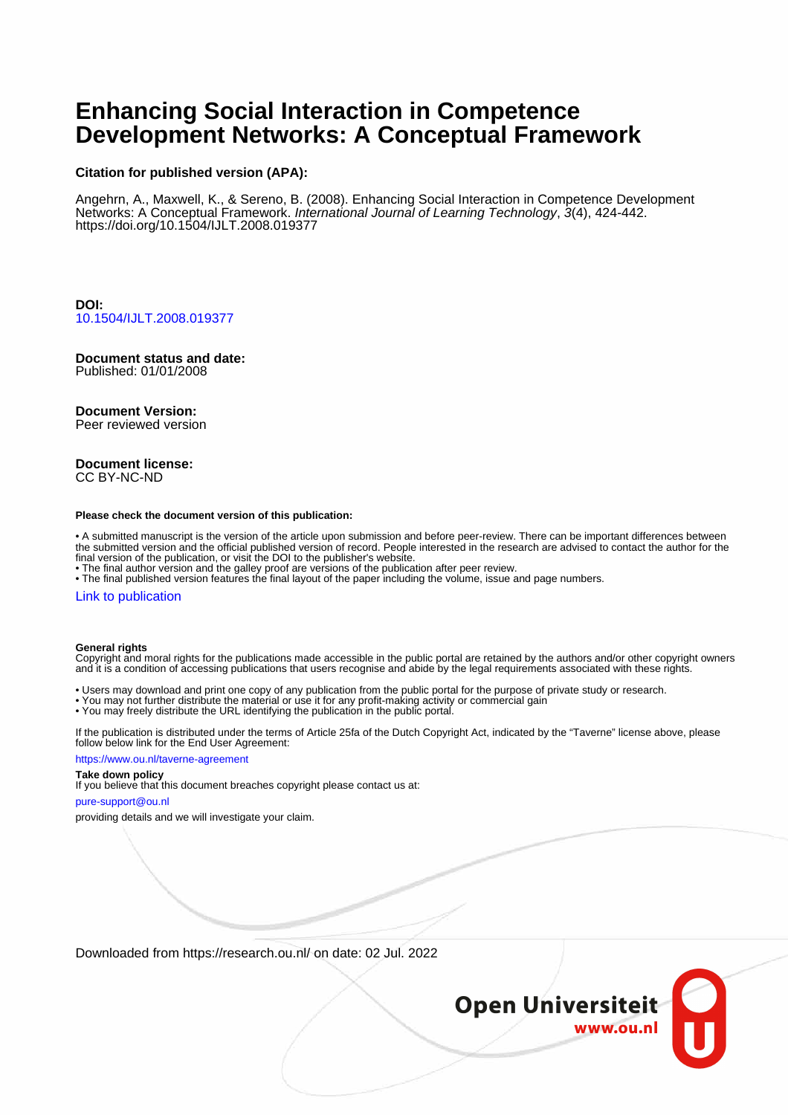# **Enhancing Social Interaction in Competence Development Networks: A Conceptual Framework**

### **Citation for published version (APA):**

Angehrn, A., Maxwell, K., & Sereno, B. (2008). Enhancing Social Interaction in Competence Development Networks: A Conceptual Framework. International Journal of Learning Technology, 3(4), 424-442. <https://doi.org/10.1504/IJLT.2008.019377>

**DOI:** [10.1504/IJLT.2008.019377](https://doi.org/10.1504/IJLT.2008.019377)

# **Document status and date:**

Published: 01/01/2008

### **Document Version:**

Peer reviewed version

#### **Document license:** CC BY-NC-ND

#### **Please check the document version of this publication:**

• A submitted manuscript is the version of the article upon submission and before peer-review. There can be important differences between the submitted version and the official published version of record. People interested in the research are advised to contact the author for the final version of the publication, or visit the DOI to the publisher's website.

• The final author version and the galley proof are versions of the publication after peer review.

• The final published version features the final layout of the paper including the volume, issue and page numbers.

#### [Link to publication](https://research.ou.nl/en/publications/b711ad88-e5f4-4b43-87d4-274a2d8e57f5)

#### **General rights**

Copyright and moral rights for the publications made accessible in the public portal are retained by the authors and/or other copyright owners and it is a condition of accessing publications that users recognise and abide by the legal requirements associated with these rights.

- Users may download and print one copy of any publication from the public portal for the purpose of private study or research.
- You may not further distribute the material or use it for any profit-making activity or commercial gain
- You may freely distribute the URL identifying the publication in the public portal.

If the publication is distributed under the terms of Article 25fa of the Dutch Copyright Act, indicated by the "Taverne" license above, please follow below link for the End User Agreement:

#### https://www.ou.nl/taverne-agreement

## **Take down policy**

If you believe that this document breaches copyright please contact us at:

#### pure-support@ou.nl

providing details and we will investigate your claim.

Downloaded from https://research.ou.nl/ on date: 02 Jul. 2022

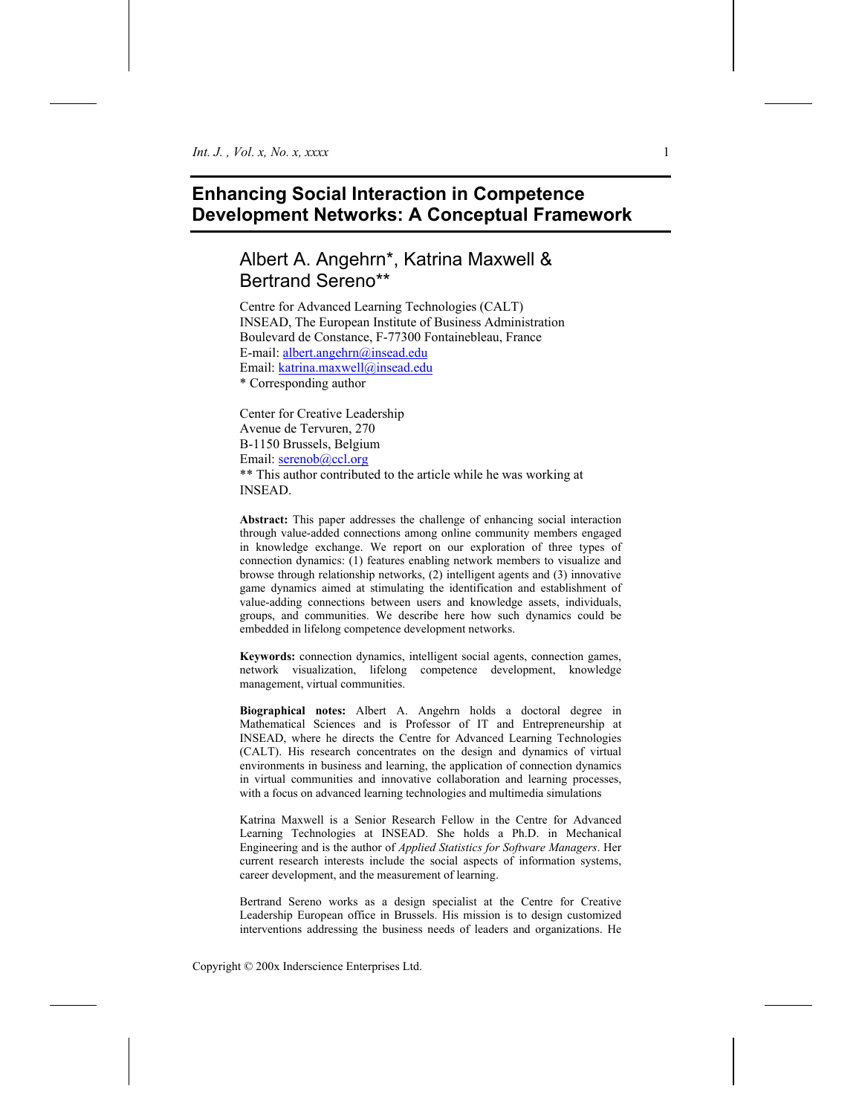# **Enhancing Social Interaction in Competence Development Networks: A Conceptual Framework**

# Albert A. Angehrn\*, Katrina Maxwell & Bertrand Sereno\*\*

Centre for Advanced Learning Technologies (CALT) INSEAD, The European Institute of Business Administration Boulevard de Constance, F-77300 Fontainebleau, France E-mail: albert.angehrn@insead.edu Email: katrina.maxwell@insead.edu \* Corresponding author

Center for Creative Leadership Avenue de Tervuren, 270 B-1150 Brussels, Belgium Email: serenob@ccl.org \*\* This author contributed to the article while he was working at INSEAD.

**Abstract:** This paper addresses the challenge of enhancing social interaction through value-added connections among online community members engaged in knowledge exchange. We report on our exploration of three types of connection dynamics: (1) features enabling network members to visualize and browse through relationship networks, (2) intelligent agents and (3) innovative game dynamics aimed at stimulating the identification and establishment of value-adding connections between users and knowledge assets, individuals, groups, and communities. We describe here how such dynamics could be embedded in lifelong competence development networks.

**Keywords:** connection dynamics, intelligent social agents, connection games, network visualization, lifelong competence development, knowledge management, virtual communities.

**Biographical notes:** Albert A. Angehrn holds a doctoral degree in Mathematical Sciences and is Professor of IT and Entrepreneurship at INSEAD, where he directs the Centre for Advanced Learning Technologies (CALT). His research concentrates on the design and dynamics of virtual environments in business and learning, the application of connection dynamics in virtual communities and innovative collaboration and learning processes, with a focus on advanced learning technologies and multimedia simulations

Katrina Maxwell is a Senior Research Fellow in the Centre for Advanced Learning Technologies at INSEAD. She holds a Ph.D. in Mechanical Engineering and is the author of *Applied Statistics for Software Managers*. Her current research interests include the social aspects of information systems, career development, and the measurement of learning.

Bertrand Sereno works as a design specialist at the Centre for Creative Leadership European office in Brussels. His mission is to design customized interventions addressing the business needs of leaders and organizations. He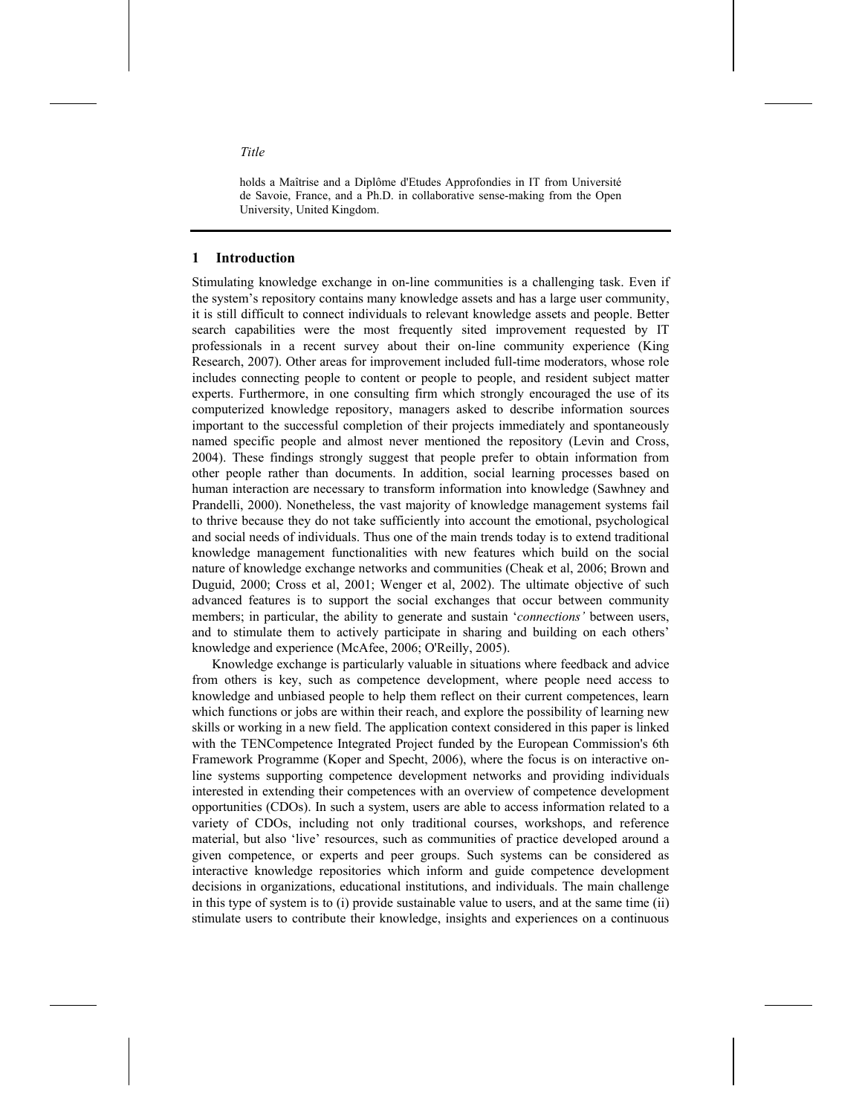holds a Maîtrise and a Diplôme d'Etudes Approfondies in IT from Université de Savoie, France, and a Ph.D. in collaborative sense-making from the Open University, United Kingdom.

### **1 Introduction**

Stimulating knowledge exchange in on-line communities is a challenging task. Even if the system's repository contains many knowledge assets and has a large user community, it is still difficult to connect individuals to relevant knowledge assets and people. Better search capabilities were the most frequently sited improvement requested by IT professionals in a recent survey about their on-line community experience (King Research, 2007). Other areas for improvement included full-time moderators, whose role includes connecting people to content or people to people, and resident subject matter experts. Furthermore, in one consulting firm which strongly encouraged the use of its computerized knowledge repository, managers asked to describe information sources important to the successful completion of their projects immediately and spontaneously named specific people and almost never mentioned the repository (Levin and Cross, 2004). These findings strongly suggest that people prefer to obtain information from other people rather than documents. In addition, social learning processes based on human interaction are necessary to transform information into knowledge (Sawhney and Prandelli, 2000). Nonetheless, the vast majority of knowledge management systems fail to thrive because they do not take sufficiently into account the emotional, psychological and social needs of individuals. Thus one of the main trends today is to extend traditional knowledge management functionalities with new features which build on the social nature of knowledge exchange networks and communities (Cheak et al, 2006; Brown and Duguid, 2000; Cross et al, 2001; Wenger et al, 2002). The ultimate objective of such advanced features is to support the social exchanges that occur between community members; in particular, the ability to generate and sustain '*connections'* between users, and to stimulate them to actively participate in sharing and building on each others' knowledge and experience (McAfee, 2006; O'Reilly, 2005).

Knowledge exchange is particularly valuable in situations where feedback and advice from others is key, such as competence development, where people need access to knowledge and unbiased people to help them reflect on their current competences, learn which functions or jobs are within their reach, and explore the possibility of learning new skills or working in a new field. The application context considered in this paper is linked with the TENCompetence Integrated Project funded by the European Commission's 6th Framework Programme (Koper and Specht, 2006), where the focus is on interactive online systems supporting competence development networks and providing individuals interested in extending their competences with an overview of competence development opportunities (CDOs). In such a system, users are able to access information related to a variety of CDOs, including not only traditional courses, workshops, and reference material, but also 'live' resources, such as communities of practice developed around a given competence, or experts and peer groups. Such systems can be considered as interactive knowledge repositories which inform and guide competence development decisions in organizations, educational institutions, and individuals. The main challenge in this type of system is to (i) provide sustainable value to users, and at the same time (ii) stimulate users to contribute their knowledge, insights and experiences on a continuous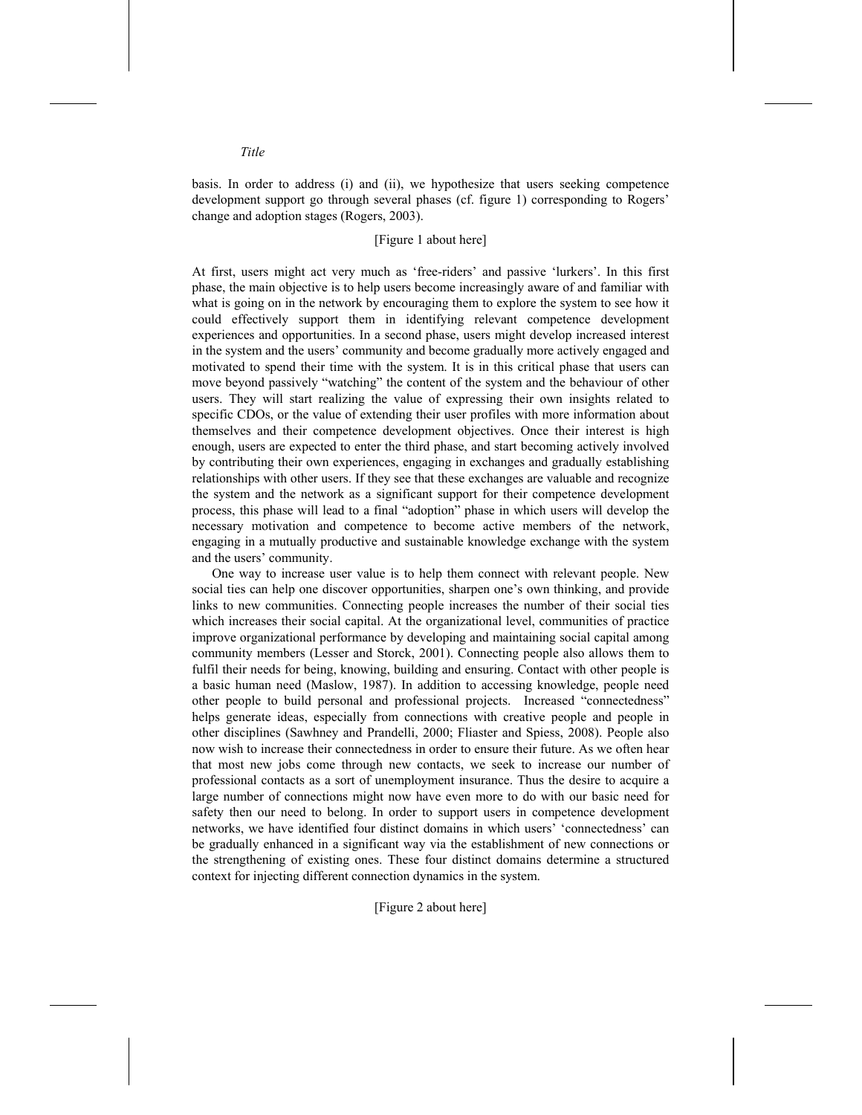basis. In order to address (i) and (ii), we hypothesize that users seeking competence development support go through several phases (cf. figure 1) corresponding to Rogers' change and adoption stages (Rogers, 2003).

#### [Figure 1 about here]

At first, users might act very much as 'free-riders' and passive 'lurkers'. In this first phase, the main objective is to help users become increasingly aware of and familiar with what is going on in the network by encouraging them to explore the system to see how it could effectively support them in identifying relevant competence development experiences and opportunities. In a second phase, users might develop increased interest in the system and the users' community and become gradually more actively engaged and motivated to spend their time with the system. It is in this critical phase that users can move beyond passively "watching" the content of the system and the behaviour of other users. They will start realizing the value of expressing their own insights related to specific CDOs, or the value of extending their user profiles with more information about themselves and their competence development objectives. Once their interest is high enough, users are expected to enter the third phase, and start becoming actively involved by contributing their own experiences, engaging in exchanges and gradually establishing relationships with other users. If they see that these exchanges are valuable and recognize the system and the network as a significant support for their competence development process, this phase will lead to a final "adoption" phase in which users will develop the necessary motivation and competence to become active members of the network, engaging in a mutually productive and sustainable knowledge exchange with the system and the users' community.

One way to increase user value is to help them connect with relevant people. New social ties can help one discover opportunities, sharpen one's own thinking, and provide links to new communities. Connecting people increases the number of their social ties which increases their social capital. At the organizational level, communities of practice improve organizational performance by developing and maintaining social capital among community members (Lesser and Storck, 2001). Connecting people also allows them to fulfil their needs for being, knowing, building and ensuring. Contact with other people is a basic human need (Maslow, 1987). In addition to accessing knowledge, people need other people to build personal and professional projects. Increased "connectedness" helps generate ideas, especially from connections with creative people and people in other disciplines (Sawhney and Prandelli, 2000; Fliaster and Spiess, 2008). People also now wish to increase their connectedness in order to ensure their future. As we often hear that most new jobs come through new contacts, we seek to increase our number of professional contacts as a sort of unemployment insurance. Thus the desire to acquire a large number of connections might now have even more to do with our basic need for safety then our need to belong. In order to support users in competence development networks, we have identified four distinct domains in which users' 'connectedness' can be gradually enhanced in a significant way via the establishment of new connections or the strengthening of existing ones. These four distinct domains determine a structured context for injecting different connection dynamics in the system.

[Figure 2 about here]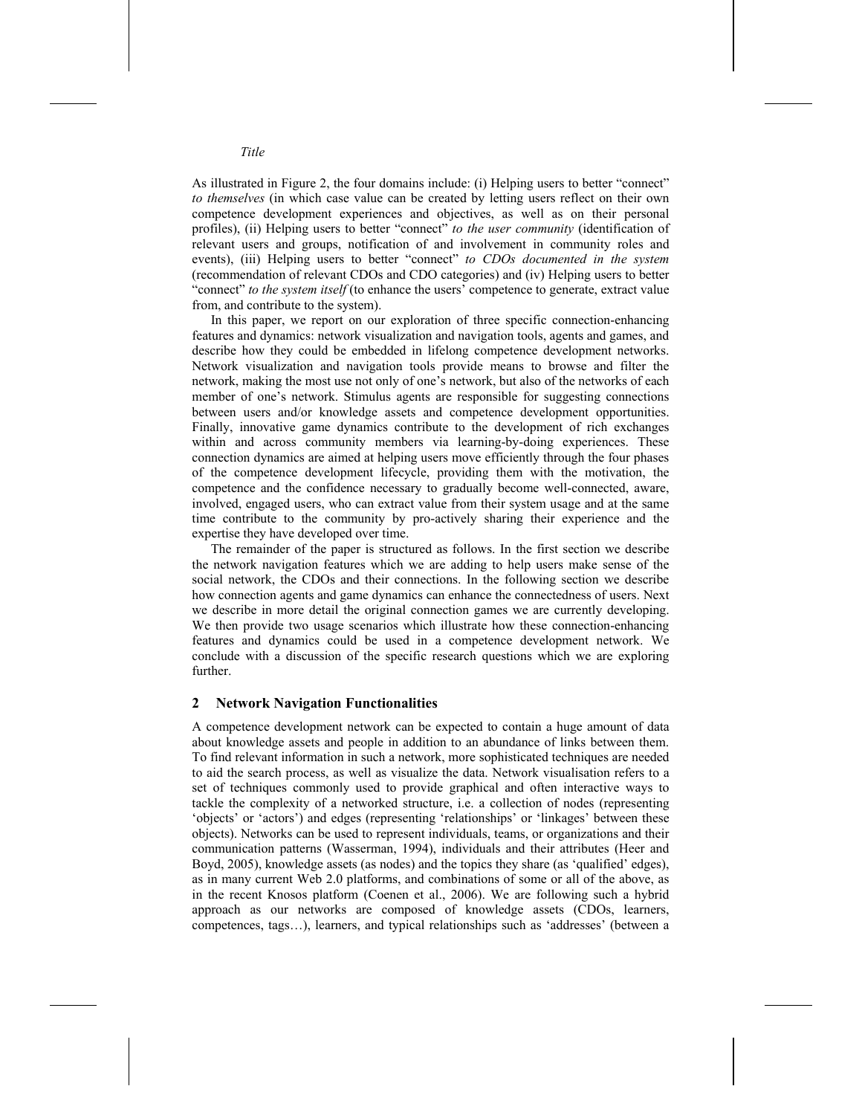As illustrated in Figure 2, the four domains include: (i) Helping users to better "connect" *to themselves* (in which case value can be created by letting users reflect on their own competence development experiences and objectives, as well as on their personal profiles), (ii) Helping users to better "connect" *to the user community* (identification of relevant users and groups, notification of and involvement in community roles and events), (iii) Helping users to better "connect" *to CDOs documented in the system* (recommendation of relevant CDOs and CDO categories) and (iv) Helping users to better "connect" *to the system itself* (to enhance the users' competence to generate, extract value from, and contribute to the system).

In this paper, we report on our exploration of three specific connection-enhancing features and dynamics: network visualization and navigation tools, agents and games, and describe how they could be embedded in lifelong competence development networks. Network visualization and navigation tools provide means to browse and filter the network, making the most use not only of one's network, but also of the networks of each member of one's network. Stimulus agents are responsible for suggesting connections between users and/or knowledge assets and competence development opportunities. Finally, innovative game dynamics contribute to the development of rich exchanges within and across community members via learning-by-doing experiences. These connection dynamics are aimed at helping users move efficiently through the four phases of the competence development lifecycle, providing them with the motivation, the competence and the confidence necessary to gradually become well-connected, aware, involved, engaged users, who can extract value from their system usage and at the same time contribute to the community by pro-actively sharing their experience and the expertise they have developed over time.

The remainder of the paper is structured as follows. In the first section we describe the network navigation features which we are adding to help users make sense of the social network, the CDOs and their connections. In the following section we describe how connection agents and game dynamics can enhance the connectedness of users. Next we describe in more detail the original connection games we are currently developing. We then provide two usage scenarios which illustrate how these connection-enhancing features and dynamics could be used in a competence development network. We conclude with a discussion of the specific research questions which we are exploring further.

#### **2 Network Navigation Functionalities**

A competence development network can be expected to contain a huge amount of data about knowledge assets and people in addition to an abundance of links between them. To find relevant information in such a network, more sophisticated techniques are needed to aid the search process, as well as visualize the data. Network visualisation refers to a set of techniques commonly used to provide graphical and often interactive ways to tackle the complexity of a networked structure, i.e. a collection of nodes (representing 'objects' or 'actors') and edges (representing 'relationships' or 'linkages' between these objects). Networks can be used to represent individuals, teams, or organizations and their communication patterns (Wasserman, 1994), individuals and their attributes (Heer and Boyd, 2005), knowledge assets (as nodes) and the topics they share (as 'qualified' edges), as in many current Web 2.0 platforms, and combinations of some or all of the above, as in the recent Knosos platform (Coenen et al., 2006). We are following such a hybrid approach as our networks are composed of knowledge assets (CDOs, learners, competences, tags…), learners, and typical relationships such as 'addresses' (between a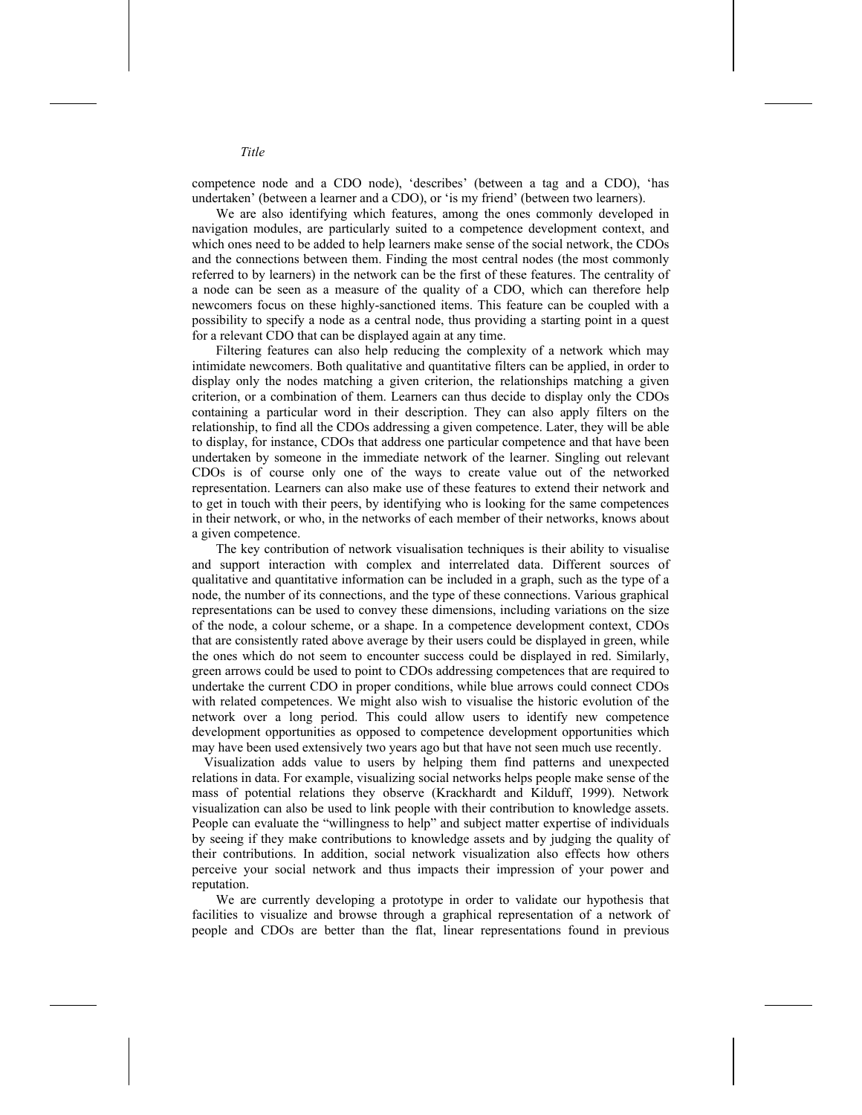competence node and a CDO node), 'describes' (between a tag and a CDO), 'has undertaken' (between a learner and a CDO), or 'is my friend' (between two learners).

We are also identifying which features, among the ones commonly developed in navigation modules, are particularly suited to a competence development context, and which ones need to be added to help learners make sense of the social network, the CDOs and the connections between them. Finding the most central nodes (the most commonly referred to by learners) in the network can be the first of these features. The centrality of a node can be seen as a measure of the quality of a CDO, which can therefore help newcomers focus on these highly-sanctioned items. This feature can be coupled with a possibility to specify a node as a central node, thus providing a starting point in a quest for a relevant CDO that can be displayed again at any time.

Filtering features can also help reducing the complexity of a network which may intimidate newcomers. Both qualitative and quantitative filters can be applied, in order to display only the nodes matching a given criterion, the relationships matching a given criterion, or a combination of them. Learners can thus decide to display only the CDOs containing a particular word in their description. They can also apply filters on the relationship, to find all the CDOs addressing a given competence. Later, they will be able to display, for instance, CDOs that address one particular competence and that have been undertaken by someone in the immediate network of the learner. Singling out relevant CDOs is of course only one of the ways to create value out of the networked representation. Learners can also make use of these features to extend their network and to get in touch with their peers, by identifying who is looking for the same competences in their network, or who, in the networks of each member of their networks, knows about a given competence.

The key contribution of network visualisation techniques is their ability to visualise and support interaction with complex and interrelated data. Different sources of qualitative and quantitative information can be included in a graph, such as the type of a node, the number of its connections, and the type of these connections. Various graphical representations can be used to convey these dimensions, including variations on the size of the node, a colour scheme, or a shape. In a competence development context, CDOs that are consistently rated above average by their users could be displayed in green, while the ones which do not seem to encounter success could be displayed in red. Similarly, green arrows could be used to point to CDOs addressing competences that are required to undertake the current CDO in proper conditions, while blue arrows could connect CDOs with related competences. We might also wish to visualise the historic evolution of the network over a long period. This could allow users to identify new competence development opportunities as opposed to competence development opportunities which may have been used extensively two years ago but that have not seen much use recently.

Visualization adds value to users by helping them find patterns and unexpected relations in data. For example, visualizing social networks helps people make sense of the mass of potential relations they observe (Krackhardt and Kilduff, 1999). Network visualization can also be used to link people with their contribution to knowledge assets. People can evaluate the "willingness to help" and subject matter expertise of individuals by seeing if they make contributions to knowledge assets and by judging the quality of their contributions. In addition, social network visualization also effects how others perceive your social network and thus impacts their impression of your power and reputation.

We are currently developing a prototype in order to validate our hypothesis that facilities to visualize and browse through a graphical representation of a network of people and CDOs are better than the flat, linear representations found in previous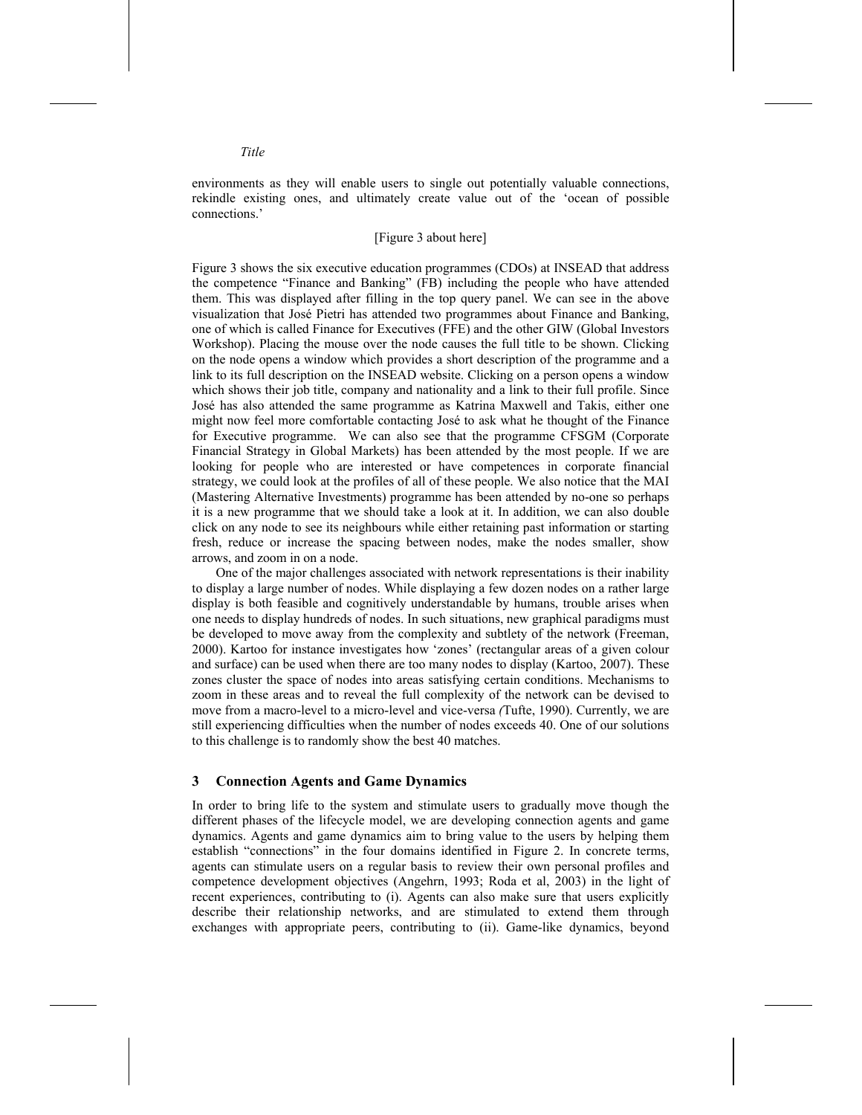environments as they will enable users to single out potentially valuable connections, rekindle existing ones, and ultimately create value out of the 'ocean of possible connections.'

#### [Figure 3 about here]

Figure 3 shows the six executive education programmes (CDOs) at INSEAD that address the competence "Finance and Banking" (FB) including the people who have attended them. This was displayed after filling in the top query panel. We can see in the above visualization that José Pietri has attended two programmes about Finance and Banking, one of which is called Finance for Executives (FFE) and the other GIW (Global Investors Workshop). Placing the mouse over the node causes the full title to be shown. Clicking on the node opens a window which provides a short description of the programme and a link to its full description on the INSEAD website. Clicking on a person opens a window which shows their job title, company and nationality and a link to their full profile. Since José has also attended the same programme as Katrina Maxwell and Takis, either one might now feel more comfortable contacting José to ask what he thought of the Finance for Executive programme. We can also see that the programme CFSGM (Corporate Financial Strategy in Global Markets) has been attended by the most people. If we are looking for people who are interested or have competences in corporate financial strategy, we could look at the profiles of all of these people. We also notice that the MAI (Mastering Alternative Investments) programme has been attended by no-one so perhaps it is a new programme that we should take a look at it. In addition, we can also double click on any node to see its neighbours while either retaining past information or starting fresh, reduce or increase the spacing between nodes, make the nodes smaller, show arrows, and zoom in on a node.

One of the major challenges associated with network representations is their inability to display a large number of nodes. While displaying a few dozen nodes on a rather large display is both feasible and cognitively understandable by humans, trouble arises when one needs to display hundreds of nodes. In such situations, new graphical paradigms must be developed to move away from the complexity and subtlety of the network (Freeman, 2000). Kartoo for instance investigates how 'zones' (rectangular areas of a given colour and surface) can be used when there are too many nodes to display (Kartoo, 2007). These zones cluster the space of nodes into areas satisfying certain conditions. Mechanisms to zoom in these areas and to reveal the full complexity of the network can be devised to move from a macro-level to a micro-level and vice-versa *(*Tufte, 1990). Currently, we are still experiencing difficulties when the number of nodes exceeds 40. One of our solutions to this challenge is to randomly show the best 40 matches.

#### **3 Connection Agents and Game Dynamics**

In order to bring life to the system and stimulate users to gradually move though the different phases of the lifecycle model, we are developing connection agents and game dynamics. Agents and game dynamics aim to bring value to the users by helping them establish "connections" in the four domains identified in Figure 2. In concrete terms, agents can stimulate users on a regular basis to review their own personal profiles and competence development objectives (Angehrn, 1993; Roda et al, 2003) in the light of recent experiences, contributing to (i). Agents can also make sure that users explicitly describe their relationship networks, and are stimulated to extend them through exchanges with appropriate peers, contributing to (ii). Game-like dynamics, beyond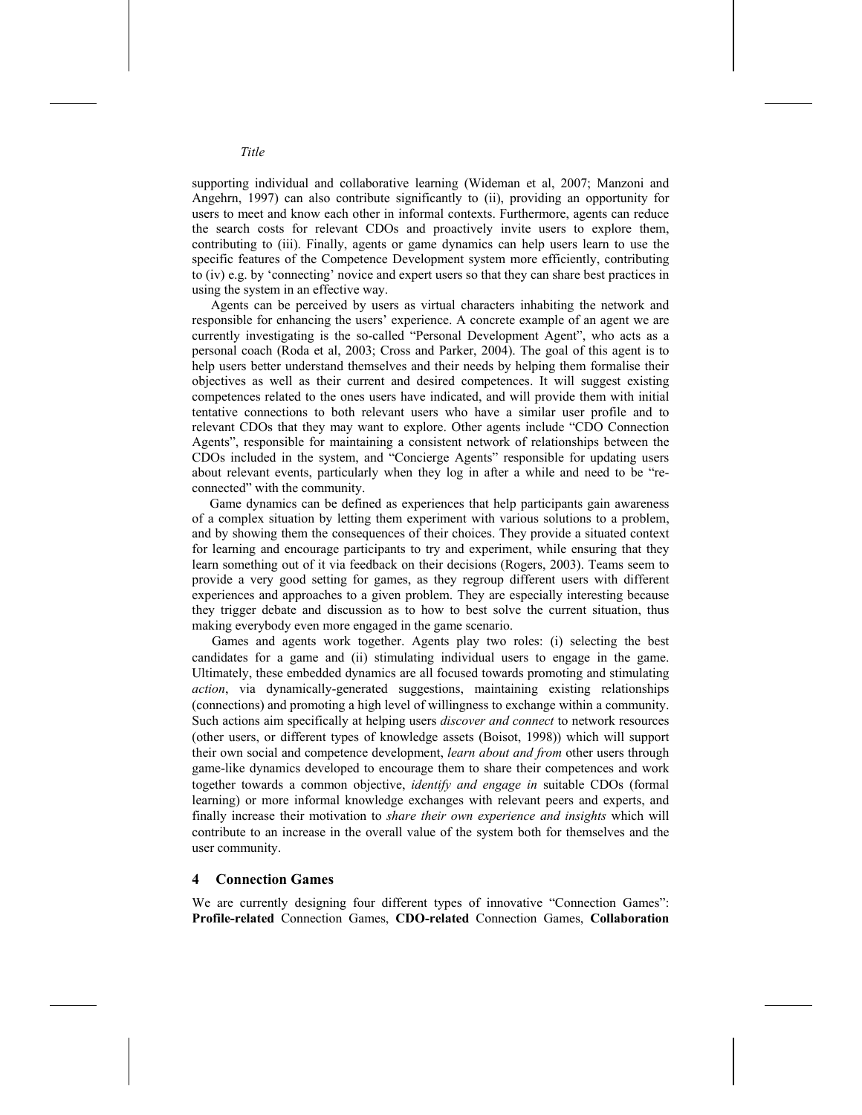supporting individual and collaborative learning (Wideman et al, 2007; Manzoni and Angehrn, 1997) can also contribute significantly to (ii), providing an opportunity for users to meet and know each other in informal contexts. Furthermore, agents can reduce the search costs for relevant CDOs and proactively invite users to explore them, contributing to (iii). Finally, agents or game dynamics can help users learn to use the specific features of the Competence Development system more efficiently, contributing to (iv) e.g. by 'connecting' novice and expert users so that they can share best practices in using the system in an effective way.

Agents can be perceived by users as virtual characters inhabiting the network and responsible for enhancing the users' experience. A concrete example of an agent we are currently investigating is the so-called "Personal Development Agent", who acts as a personal coach (Roda et al, 2003; Cross and Parker, 2004). The goal of this agent is to help users better understand themselves and their needs by helping them formalise their objectives as well as their current and desired competences. It will suggest existing competences related to the ones users have indicated, and will provide them with initial tentative connections to both relevant users who have a similar user profile and to relevant CDOs that they may want to explore. Other agents include "CDO Connection Agents", responsible for maintaining a consistent network of relationships between the CDOs included in the system, and "Concierge Agents" responsible for updating users about relevant events, particularly when they log in after a while and need to be "reconnected" with the community.

Game dynamics can be defined as experiences that help participants gain awareness of a complex situation by letting them experiment with various solutions to a problem, and by showing them the consequences of their choices. They provide a situated context for learning and encourage participants to try and experiment, while ensuring that they learn something out of it via feedback on their decisions (Rogers, 2003). Teams seem to provide a very good setting for games, as they regroup different users with different experiences and approaches to a given problem. They are especially interesting because they trigger debate and discussion as to how to best solve the current situation, thus making everybody even more engaged in the game scenario.

Games and agents work together. Agents play two roles: (i) selecting the best candidates for a game and (ii) stimulating individual users to engage in the game. Ultimately, these embedded dynamics are all focused towards promoting and stimulating *action*, via dynamically-generated suggestions, maintaining existing relationships (connections) and promoting a high level of willingness to exchange within a community. Such actions aim specifically at helping users *discover and connect* to network resources (other users, or different types of knowledge assets (Boisot, 1998)) which will support their own social and competence development, *learn about and from* other users through game-like dynamics developed to encourage them to share their competences and work together towards a common objective, *identify and engage in* suitable CDOs (formal learning) or more informal knowledge exchanges with relevant peers and experts, and finally increase their motivation to *share their own experience and insights* which will contribute to an increase in the overall value of the system both for themselves and the user community.

#### **4 Connection Games**

We are currently designing four different types of innovative "Connection Games": **Profile-related** Connection Games, **CDO-related** Connection Games, **Collaboration**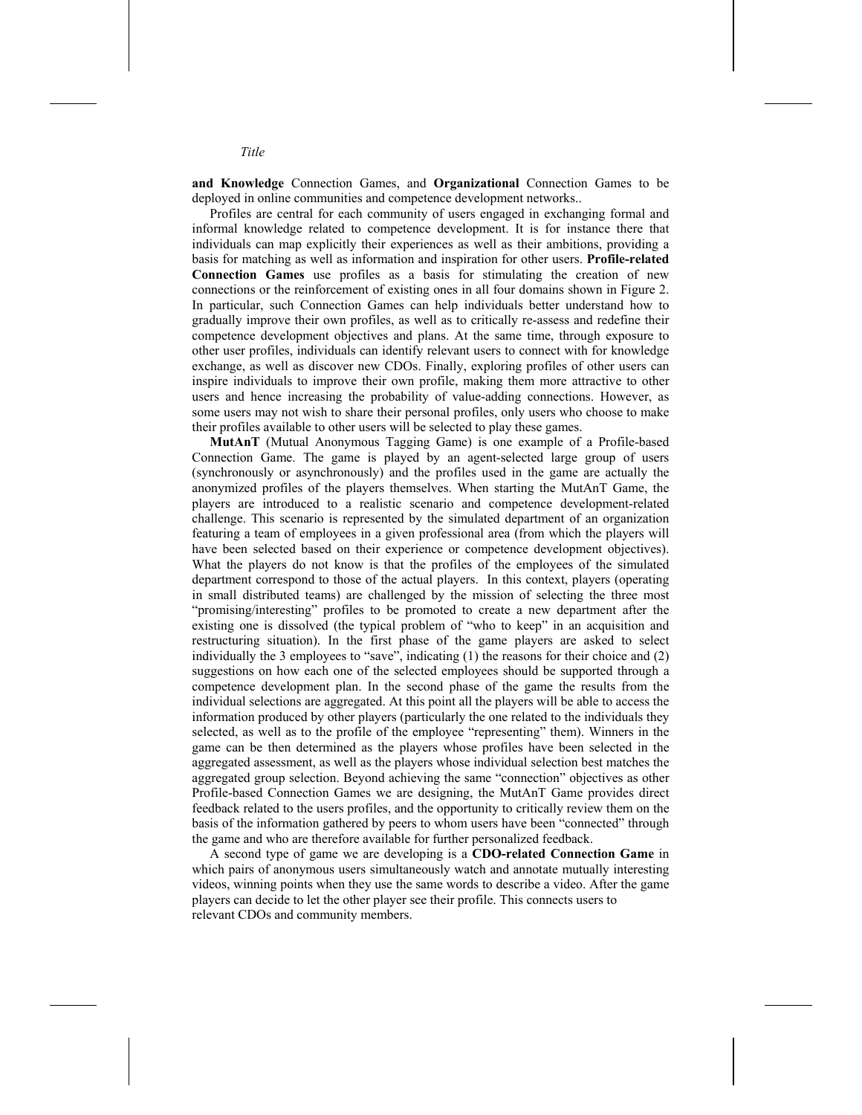**and Knowledge** Connection Games, and **Organizational** Connection Games to be deployed in online communities and competence development networks..

Profiles are central for each community of users engaged in exchanging formal and informal knowledge related to competence development. It is for instance there that individuals can map explicitly their experiences as well as their ambitions, providing a basis for matching as well as information and inspiration for other users. **Profile-related Connection Games** use profiles as a basis for stimulating the creation of new connections or the reinforcement of existing ones in all four domains shown in Figure 2. In particular, such Connection Games can help individuals better understand how to gradually improve their own profiles, as well as to critically re-assess and redefine their competence development objectives and plans. At the same time, through exposure to other user profiles, individuals can identify relevant users to connect with for knowledge exchange, as well as discover new CDOs. Finally, exploring profiles of other users can inspire individuals to improve their own profile, making them more attractive to other users and hence increasing the probability of value-adding connections. However, as some users may not wish to share their personal profiles, only users who choose to make their profiles available to other users will be selected to play these games.

**MutAnT** (Mutual Anonymous Tagging Game) is one example of a Profile-based Connection Game. The game is played by an agent-selected large group of users (synchronously or asynchronously) and the profiles used in the game are actually the anonymized profiles of the players themselves. When starting the MutAnT Game, the players are introduced to a realistic scenario and competence development-related challenge. This scenario is represented by the simulated department of an organization featuring a team of employees in a given professional area (from which the players will have been selected based on their experience or competence development objectives). What the players do not know is that the profiles of the employees of the simulated department correspond to those of the actual players. In this context, players (operating in small distributed teams) are challenged by the mission of selecting the three most "promising/interesting" profiles to be promoted to create a new department after the existing one is dissolved (the typical problem of "who to keep" in an acquisition and restructuring situation). In the first phase of the game players are asked to select individually the 3 employees to "save", indicating (1) the reasons for their choice and (2) suggestions on how each one of the selected employees should be supported through a competence development plan. In the second phase of the game the results from the individual selections are aggregated. At this point all the players will be able to access the information produced by other players (particularly the one related to the individuals they selected, as well as to the profile of the employee "representing" them). Winners in the game can be then determined as the players whose profiles have been selected in the aggregated assessment, as well as the players whose individual selection best matches the aggregated group selection. Beyond achieving the same "connection" objectives as other Profile-based Connection Games we are designing, the MutAnT Game provides direct feedback related to the users profiles, and the opportunity to critically review them on the basis of the information gathered by peers to whom users have been "connected" through the game and who are therefore available for further personalized feedback.

A second type of game we are developing is a **CDO-related Connection Game** in which pairs of anonymous users simultaneously watch and annotate mutually interesting videos, winning points when they use the same words to describe a video. After the game players can decide to let the other player see their profile. This connects users to relevant CDOs and community members.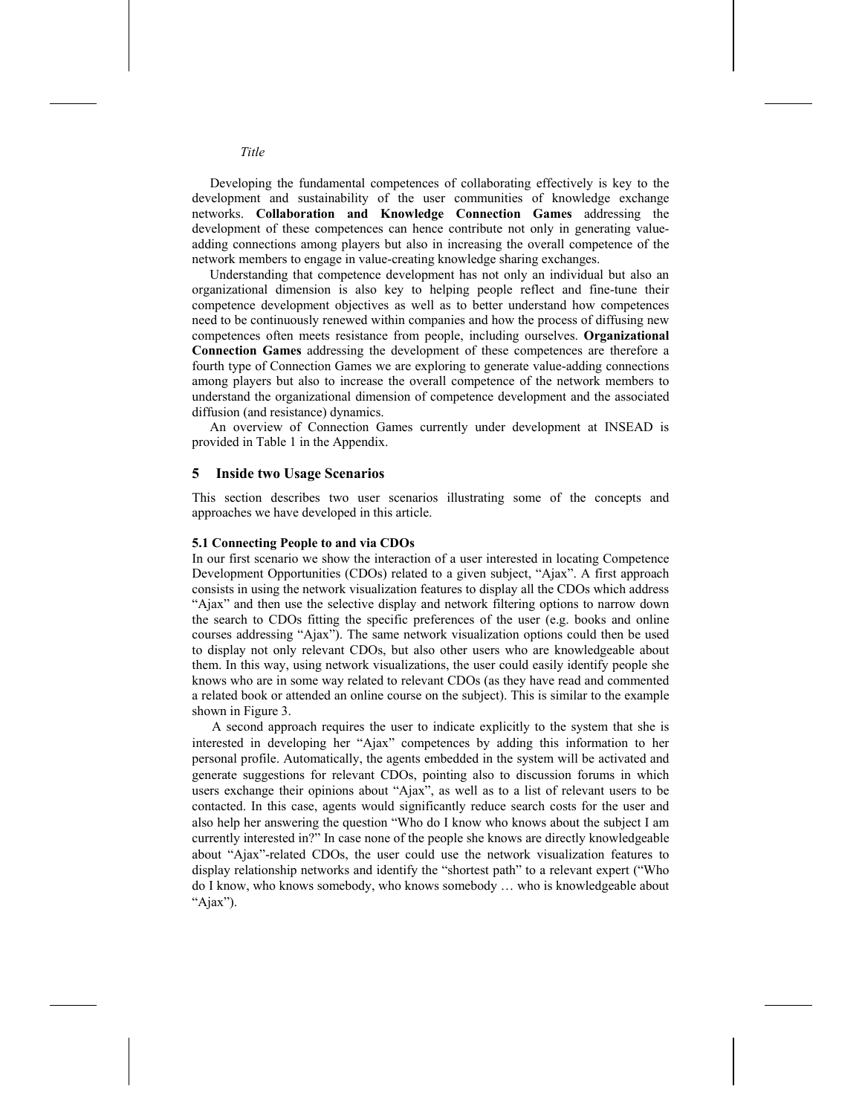Developing the fundamental competences of collaborating effectively is key to the development and sustainability of the user communities of knowledge exchange networks. **Collaboration and Knowledge Connection Games** addressing the development of these competences can hence contribute not only in generating valueadding connections among players but also in increasing the overall competence of the network members to engage in value-creating knowledge sharing exchanges.

Understanding that competence development has not only an individual but also an organizational dimension is also key to helping people reflect and fine-tune their competence development objectives as well as to better understand how competences need to be continuously renewed within companies and how the process of diffusing new competences often meets resistance from people, including ourselves. **Organizational Connection Games** addressing the development of these competences are therefore a fourth type of Connection Games we are exploring to generate value-adding connections among players but also to increase the overall competence of the network members to understand the organizational dimension of competence development and the associated diffusion (and resistance) dynamics.

An overview of Connection Games currently under development at INSEAD is provided in Table 1 in the Appendix.

#### **5 Inside two Usage Scenarios**

This section describes two user scenarios illustrating some of the concepts and approaches we have developed in this article.

#### **5.1 Connecting People to and via CDOs**

In our first scenario we show the interaction of a user interested in locating Competence Development Opportunities (CDOs) related to a given subject, "Ajax". A first approach consists in using the network visualization features to display all the CDOs which address "Ajax" and then use the selective display and network filtering options to narrow down the search to CDOs fitting the specific preferences of the user (e.g. books and online courses addressing "Ajax"). The same network visualization options could then be used to display not only relevant CDOs, but also other users who are knowledgeable about them. In this way, using network visualizations, the user could easily identify people she knows who are in some way related to relevant CDOs (as they have read and commented a related book or attended an online course on the subject). This is similar to the example shown in Figure 3.

A second approach requires the user to indicate explicitly to the system that she is interested in developing her "Ajax" competences by adding this information to her personal profile. Automatically, the agents embedded in the system will be activated and generate suggestions for relevant CDOs, pointing also to discussion forums in which users exchange their opinions about "Ajax", as well as to a list of relevant users to be contacted. In this case, agents would significantly reduce search costs for the user and also help her answering the question "Who do I know who knows about the subject I am currently interested in?" In case none of the people she knows are directly knowledgeable about "Ajax"-related CDOs, the user could use the network visualization features to display relationship networks and identify the "shortest path" to a relevant expert ("Who do I know, who knows somebody, who knows somebody … who is knowledgeable about "Ajax").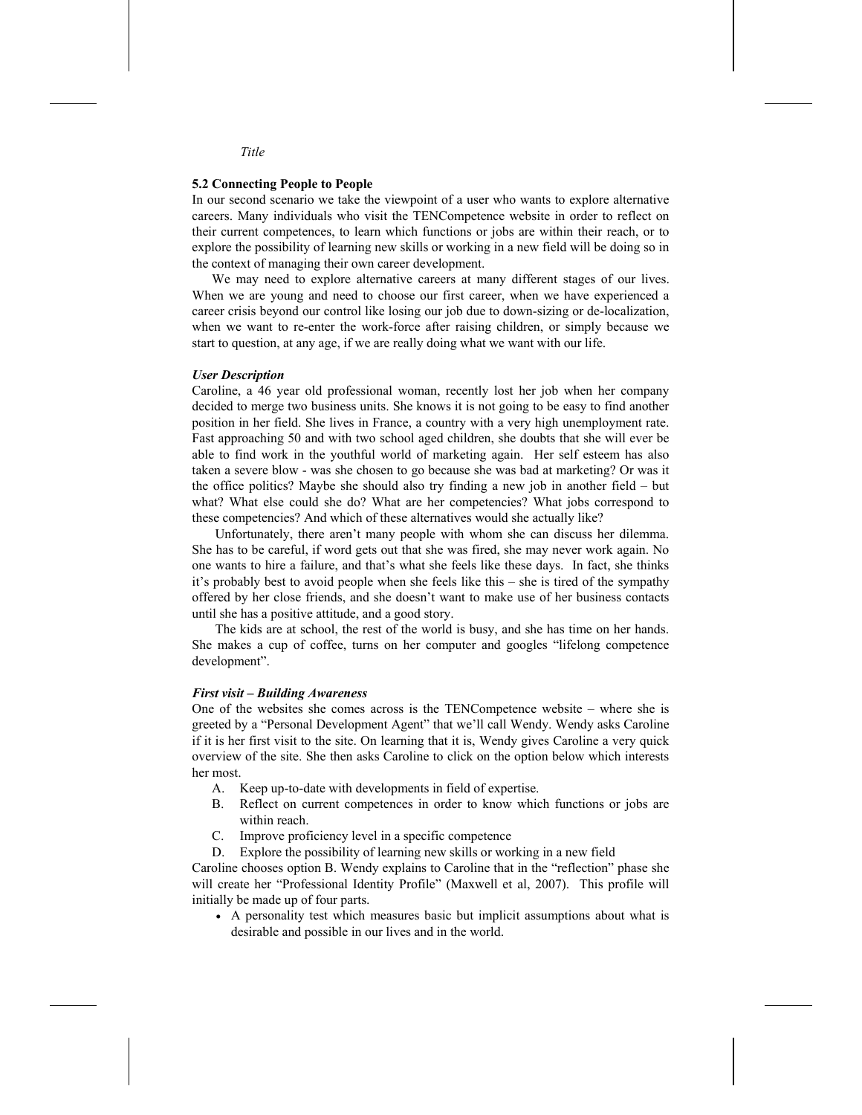#### **5.2 Connecting People to People**

In our second scenario we take the viewpoint of a user who wants to explore alternative careers. Many individuals who visit the TENCompetence website in order to reflect on their current competences, to learn which functions or jobs are within their reach, or to explore the possibility of learning new skills or working in a new field will be doing so in the context of managing their own career development.

We may need to explore alternative careers at many different stages of our lives. When we are young and need to choose our first career, when we have experienced a career crisis beyond our control like losing our job due to down-sizing or de-localization, when we want to re-enter the work-force after raising children, or simply because we start to question, at any age, if we are really doing what we want with our life.

#### *User Description*

Caroline, a 46 year old professional woman, recently lost her job when her company decided to merge two business units. She knows it is not going to be easy to find another position in her field. She lives in France, a country with a very high unemployment rate. Fast approaching 50 and with two school aged children, she doubts that she will ever be able to find work in the youthful world of marketing again. Her self esteem has also taken a severe blow - was she chosen to go because she was bad at marketing? Or was it the office politics? Maybe she should also try finding a new job in another field – but what? What else could she do? What are her competencies? What jobs correspond to these competencies? And which of these alternatives would she actually like?

 Unfortunately, there aren't many people with whom she can discuss her dilemma. She has to be careful, if word gets out that she was fired, she may never work again. No one wants to hire a failure, and that's what she feels like these days. In fact, she thinks it's probably best to avoid people when she feels like this – she is tired of the sympathy offered by her close friends, and she doesn't want to make use of her business contacts until she has a positive attitude, and a good story.

 The kids are at school, the rest of the world is busy, and she has time on her hands. She makes a cup of coffee, turns on her computer and googles "lifelong competence development".

#### *First visit – Building Awareness*

One of the websites she comes across is the TENCompetence website – where she is greeted by a "Personal Development Agent" that we'll call Wendy. Wendy asks Caroline if it is her first visit to the site. On learning that it is, Wendy gives Caroline a very quick overview of the site. She then asks Caroline to click on the option below which interests her most.

- A. Keep up-to-date with developments in field of expertise.
- B. Reflect on current competences in order to know which functions or jobs are within reach.
- C. Improve proficiency level in a specific competence
- D. Explore the possibility of learning new skills or working in a new field

Caroline chooses option B. Wendy explains to Caroline that in the "reflection" phase she will create her "Professional Identity Profile" (Maxwell et al, 2007). This profile will initially be made up of four parts.

• A personality test which measures basic but implicit assumptions about what is desirable and possible in our lives and in the world.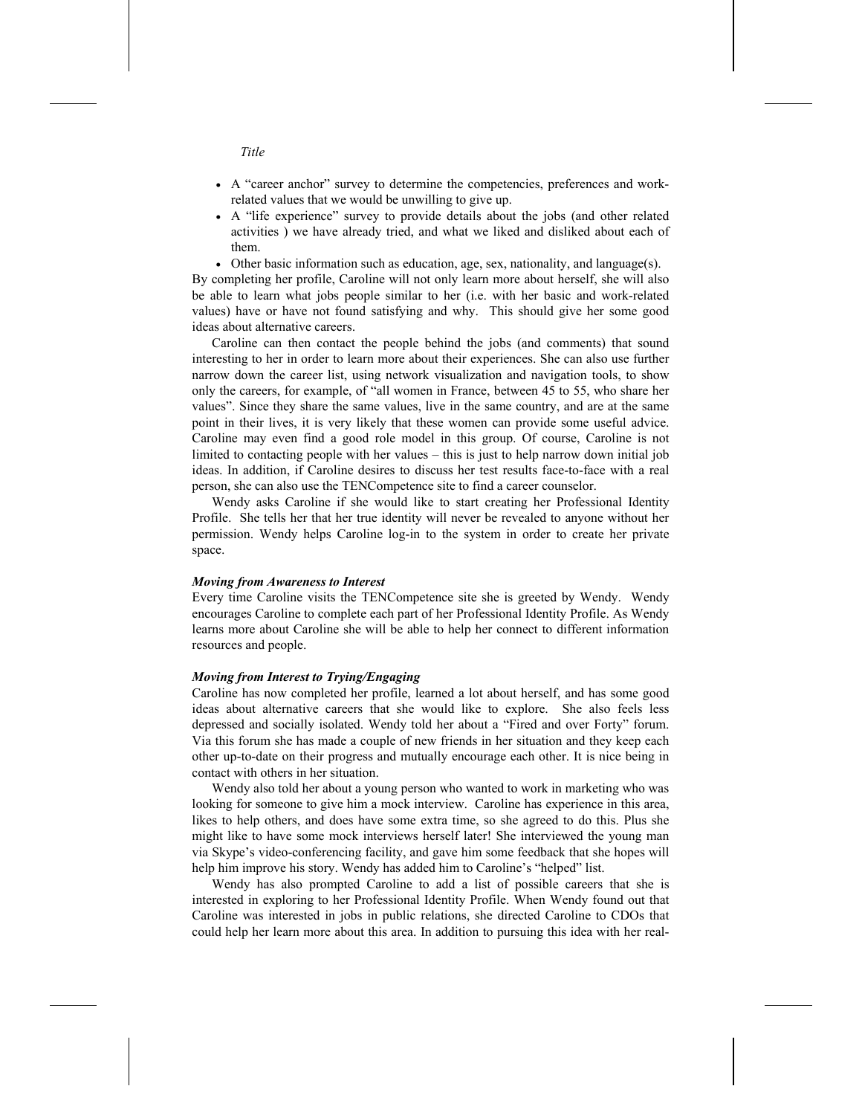- A "career anchor" survey to determine the competencies, preferences and workrelated values that we would be unwilling to give up.
- A "life experience" survey to provide details about the jobs (and other related activities ) we have already tried, and what we liked and disliked about each of them.
- Other basic information such as education, age, sex, nationality, and language(s).

By completing her profile, Caroline will not only learn more about herself, she will also be able to learn what jobs people similar to her (i.e. with her basic and work-related values) have or have not found satisfying and why. This should give her some good ideas about alternative careers.

Caroline can then contact the people behind the jobs (and comments) that sound interesting to her in order to learn more about their experiences. She can also use further narrow down the career list, using network visualization and navigation tools, to show only the careers, for example, of "all women in France, between 45 to 55, who share her values". Since they share the same values, live in the same country, and are at the same point in their lives, it is very likely that these women can provide some useful advice. Caroline may even find a good role model in this group. Of course, Caroline is not limited to contacting people with her values – this is just to help narrow down initial job ideas. In addition, if Caroline desires to discuss her test results face-to-face with a real person, she can also use the TENCompetence site to find a career counselor.

Wendy asks Caroline if she would like to start creating her Professional Identity Profile. She tells her that her true identity will never be revealed to anyone without her permission. Wendy helps Caroline log-in to the system in order to create her private space.

#### *Moving from Awareness to Interest*

Every time Caroline visits the TENCompetence site she is greeted by Wendy. Wendy encourages Caroline to complete each part of her Professional Identity Profile. As Wendy learns more about Caroline she will be able to help her connect to different information resources and people.

#### *Moving from Interest to Trying/Engaging*

Caroline has now completed her profile, learned a lot about herself, and has some good ideas about alternative careers that she would like to explore. She also feels less depressed and socially isolated. Wendy told her about a "Fired and over Forty" forum. Via this forum she has made a couple of new friends in her situation and they keep each other up-to-date on their progress and mutually encourage each other. It is nice being in contact with others in her situation.

Wendy also told her about a young person who wanted to work in marketing who was looking for someone to give him a mock interview. Caroline has experience in this area, likes to help others, and does have some extra time, so she agreed to do this. Plus she might like to have some mock interviews herself later! She interviewed the young man via Skype's video-conferencing facility, and gave him some feedback that she hopes will help him improve his story. Wendy has added him to Caroline's "helped" list.

Wendy has also prompted Caroline to add a list of possible careers that she is interested in exploring to her Professional Identity Profile. When Wendy found out that Caroline was interested in jobs in public relations, she directed Caroline to CDOs that could help her learn more about this area. In addition to pursuing this idea with her real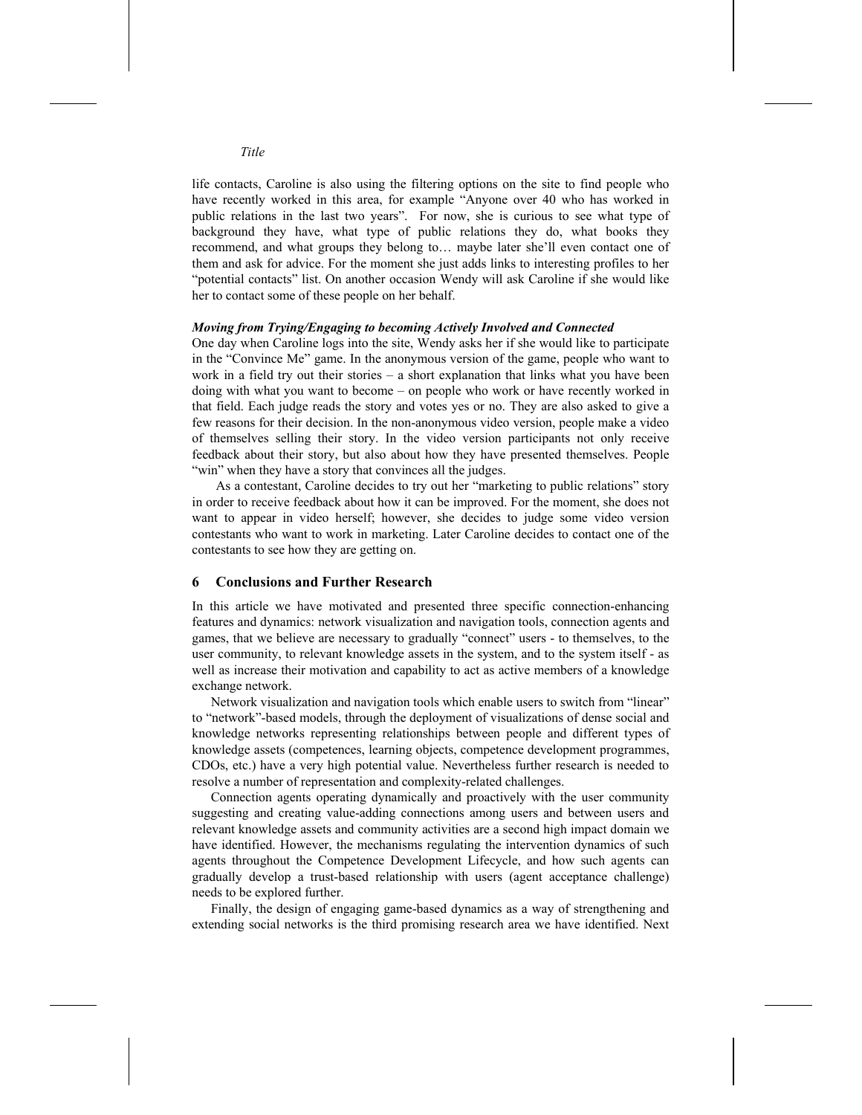life contacts, Caroline is also using the filtering options on the site to find people who have recently worked in this area, for example "Anyone over 40 who has worked in public relations in the last two years". For now, she is curious to see what type of background they have, what type of public relations they do, what books they recommend, and what groups they belong to… maybe later she'll even contact one of them and ask for advice. For the moment she just adds links to interesting profiles to her "potential contacts" list. On another occasion Wendy will ask Caroline if she would like her to contact some of these people on her behalf.

#### *Moving from Trying/Engaging to becoming Actively Involved and Connected*

One day when Caroline logs into the site, Wendy asks her if she would like to participate in the "Convince Me" game. In the anonymous version of the game, people who want to work in a field try out their stories – a short explanation that links what you have been doing with what you want to become – on people who work or have recently worked in that field. Each judge reads the story and votes yes or no. They are also asked to give a few reasons for their decision. In the non-anonymous video version, people make a video of themselves selling their story. In the video version participants not only receive feedback about their story, but also about how they have presented themselves. People "win" when they have a story that convinces all the judges.

As a contestant, Caroline decides to try out her "marketing to public relations" story in order to receive feedback about how it can be improved. For the moment, she does not want to appear in video herself; however, she decides to judge some video version contestants who want to work in marketing. Later Caroline decides to contact one of the contestants to see how they are getting on.

#### **6 Conclusions and Further Research**

In this article we have motivated and presented three specific connection-enhancing features and dynamics: network visualization and navigation tools, connection agents and games, that we believe are necessary to gradually "connect" users - to themselves, to the user community, to relevant knowledge assets in the system, and to the system itself - as well as increase their motivation and capability to act as active members of a knowledge exchange network.

Network visualization and navigation tools which enable users to switch from "linear" to "network"-based models, through the deployment of visualizations of dense social and knowledge networks representing relationships between people and different types of knowledge assets (competences, learning objects, competence development programmes, CDOs, etc.) have a very high potential value. Nevertheless further research is needed to resolve a number of representation and complexity-related challenges.

Connection agents operating dynamically and proactively with the user community suggesting and creating value-adding connections among users and between users and relevant knowledge assets and community activities are a second high impact domain we have identified. However, the mechanisms regulating the intervention dynamics of such agents throughout the Competence Development Lifecycle, and how such agents can gradually develop a trust-based relationship with users (agent acceptance challenge) needs to be explored further.

Finally, the design of engaging game-based dynamics as a way of strengthening and extending social networks is the third promising research area we have identified. Next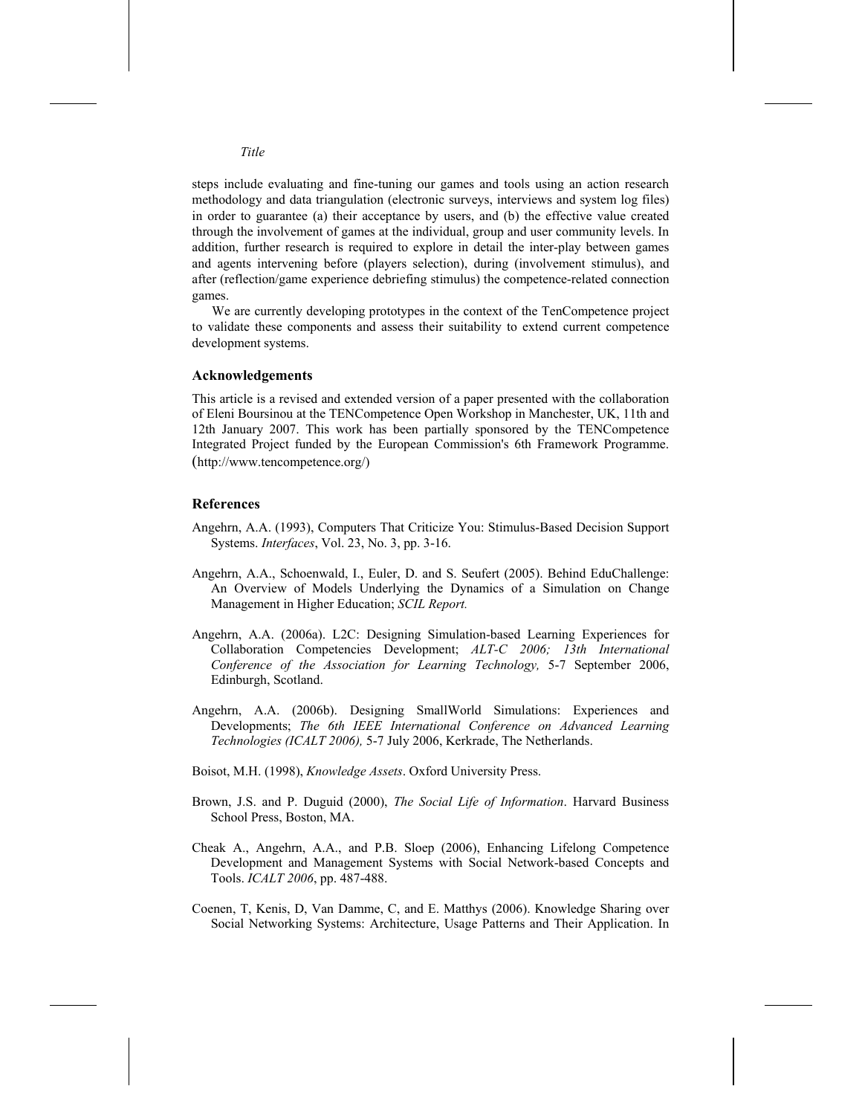steps include evaluating and fine-tuning our games and tools using an action research methodology and data triangulation (electronic surveys, interviews and system log files) in order to guarantee (a) their acceptance by users, and (b) the effective value created through the involvement of games at the individual, group and user community levels. In addition, further research is required to explore in detail the inter-play between games and agents intervening before (players selection), during (involvement stimulus), and after (reflection/game experience debriefing stimulus) the competence-related connection games.

We are currently developing prototypes in the context of the TenCompetence project to validate these components and assess their suitability to extend current competence development systems.

#### **Acknowledgements**

This article is a revised and extended version of a paper presented with the collaboration of Eleni Boursinou at the TENCompetence Open Workshop in Manchester, UK, 11th and 12th January 2007. This work has been partially sponsored by the TENCompetence Integrated Project funded by the European Commission's 6th Framework Programme. (http://www.tencompetence.org/)

#### **References**

- Angehrn, A.A. (1993), Computers That Criticize You: Stimulus-Based Decision Support Systems. *Interfaces*, Vol. 23, No. 3, pp. 3-16.
- Angehrn, A.A., Schoenwald, I., Euler, D. and S. Seufert (2005). Behind EduChallenge: An Overview of Models Underlying the Dynamics of a Simulation on Change Management in Higher Education; *SCIL Report.*
- Angehrn, A.A. (2006a). L2C: Designing Simulation-based Learning Experiences for Collaboration Competencies Development; *ALT-C 2006; 13th International Conference of the Association for Learning Technology,* 5-7 September 2006, Edinburgh, Scotland.
- Angehrn, A.A. (2006b). Designing SmallWorld Simulations: Experiences and Developments; *The 6th IEEE International Conference on Advanced Learning Technologies (ICALT 2006),* 5-7 July 2006, Kerkrade, The Netherlands.
- Boisot, M.H. (1998), *Knowledge Assets*. Oxford University Press.
- Brown, J.S. and P. Duguid (2000), *The Social Life of Information*. Harvard Business School Press, Boston, MA.
- Cheak A., Angehrn, A.A., and P.B. Sloep (2006), Enhancing Lifelong Competence Development and Management Systems with Social Network-based Concepts and Tools. *ICALT 2006*, pp. 487-488.
- Coenen, T, Kenis, D, Van Damme, C, and E. Matthys (2006). Knowledge Sharing over Social Networking Systems: Architecture, Usage Patterns and Their Application. In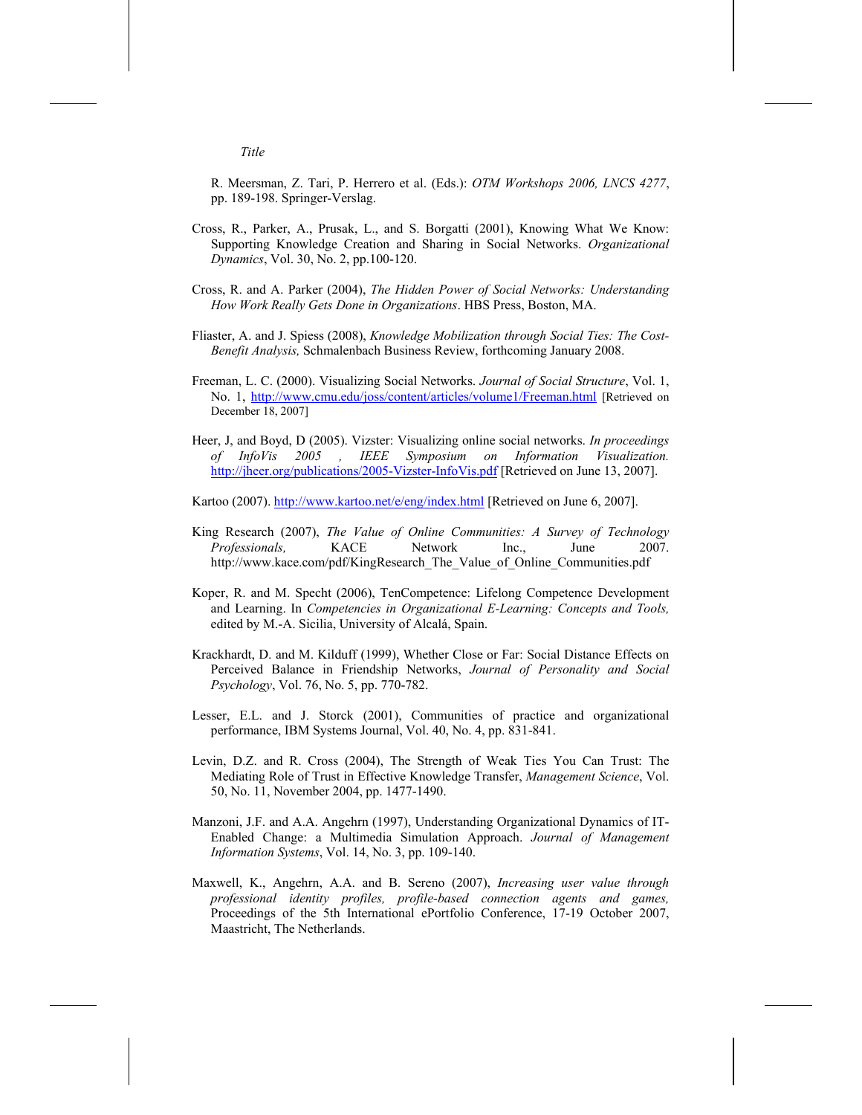R. Meersman, Z. Tari, P. Herrero et al. (Eds.): *OTM Workshops 2006, LNCS 4277*, pp. 189-198. Springer-Verslag.

- Cross, R., Parker, A., Prusak, L., and S. Borgatti (2001), Knowing What We Know: Supporting Knowledge Creation and Sharing in Social Networks. *Organizational Dynamics*, Vol. 30, No. 2, pp.100-120.
- Cross, R. and A. Parker (2004), *The Hidden Power of Social Networks: Understanding How Work Really Gets Done in Organizations*. HBS Press, Boston, MA.
- Fliaster, A. and J. Spiess (2008), *Knowledge Mobilization through Social Ties: The Cost-Benefit Analysis,* Schmalenbach Business Review, forthcoming January 2008.
- Freeman, L. C. (2000). Visualizing Social Networks. *Journal of Social Structure*, Vol. 1, No. 1, http://www.cmu.edu/joss/content/articles/volume1/Freeman.html [Retrieved on December 18, 2007]
- Heer, J, and Boyd, D (2005). Vizster: Visualizing online social networks. *In proceedings of InfoVis 2005 , IEEE Symposium on Information Visualization.* http://jheer.org/publications/2005-Vizster-InfoVis.pdf [Retrieved on June 13, 2007].

Kartoo (2007). http://www.kartoo.net/e/eng/index.html [Retrieved on June 6, 2007].

- King Research (2007), *The Value of Online Communities: A Survey of Technology Professionals,* KACE Network Inc., June 2007. http://www.kace.com/pdf/KingResearch\_The\_Value\_of\_Online\_Communities.pdf
- Koper, R. and M. Specht (2006), TenCompetence: Lifelong Competence Development and Learning. In *Competencies in Organizational E-Learning: Concepts and Tools,*  edited by M.-A. Sicilia, University of Alcalá, Spain.
- Krackhardt, D. and M. Kilduff (1999), Whether Close or Far: Social Distance Effects on Perceived Balance in Friendship Networks, *Journal of Personality and Social Psychology*, Vol. 76, No. 5, pp. 770-782.
- Lesser, E.L. and J. Storck (2001), Communities of practice and organizational performance, IBM Systems Journal, Vol. 40, No. 4, pp. 831-841.
- Levin, D.Z. and R. Cross (2004), The Strength of Weak Ties You Can Trust: The Mediating Role of Trust in Effective Knowledge Transfer, *Management Science*, Vol. 50, No. 11, November 2004, pp. 1477-1490.
- Manzoni, J.F. and A.A. Angehrn (1997), Understanding Organizational Dynamics of IT-Enabled Change: a Multimedia Simulation Approach. *Journal of Management Information Systems*, Vol. 14, No. 3, pp. 109-140.
- Maxwell, K., Angehrn, A.A. and B. Sereno (2007), *Increasing user value through professional identity profiles, profile-based connection agents and games,* Proceedings of the 5th International ePortfolio Conference, 17-19 October 2007, Maastricht, The Netherlands.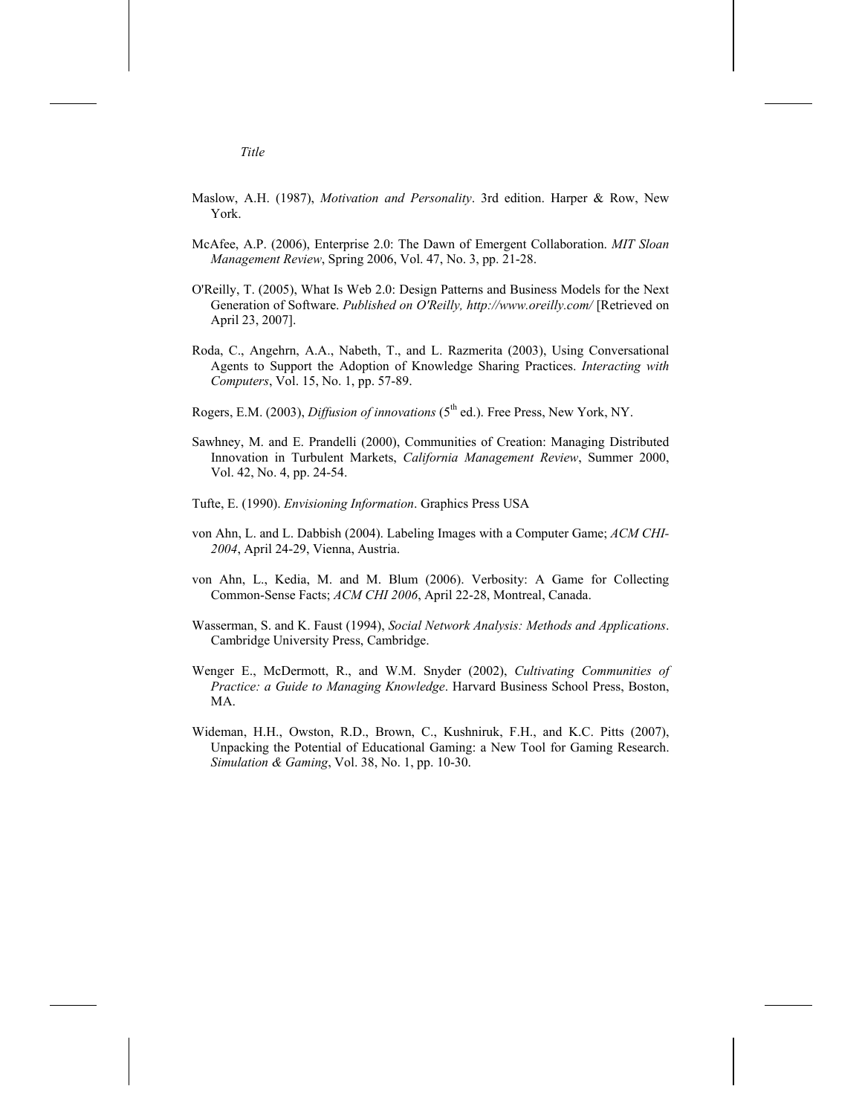- Maslow, A.H. (1987), *Motivation and Personality*. 3rd edition. Harper & Row, New York.
- McAfee, A.P. (2006), Enterprise 2.0: The Dawn of Emergent Collaboration. *MIT Sloan Management Review*, Spring 2006, Vol. 47, No. 3, pp. 21-28.
- O'Reilly, T. (2005), What Is Web 2.0: Design Patterns and Business Models for the Next Generation of Software. *Published on O'Reilly, http://www.oreilly.com/* [Retrieved on April 23, 2007].
- Roda, C., Angehrn, A.A., Nabeth, T., and L. Razmerita (2003), Using Conversational Agents to Support the Adoption of Knowledge Sharing Practices. *Interacting with Computers*, Vol. 15, No. 1, pp. 57-89.
- Rogers, E.M. (2003), *Diffusion of innovations* (5<sup>th</sup> ed.). Free Press, New York, NY.
- Sawhney, M. and E. Prandelli (2000), Communities of Creation: Managing Distributed Innovation in Turbulent Markets, *California Management Review*, Summer 2000, Vol. 42, No. 4, pp. 24-54.
- Tufte, E. (1990). *Envisioning Information*. Graphics Press USA
- von Ahn, L. and L. Dabbish (2004). Labeling Images with a Computer Game; *ACM CHI-2004*, April 24-29, Vienna, Austria.
- von Ahn, L., Kedia, M. and M. Blum (2006). Verbosity: A Game for Collecting Common-Sense Facts; *ACM CHI 2006*, April 22-28, Montreal, Canada.
- Wasserman, S. and K. Faust (1994), *Social Network Analysis: Methods and Applications*. Cambridge University Press, Cambridge.
- Wenger E., McDermott, R., and W.M. Snyder (2002), *Cultivating Communities of Practice: a Guide to Managing Knowledge*. Harvard Business School Press, Boston, MA.
- Wideman, H.H., Owston, R.D., Brown, C., Kushniruk, F.H., and K.C. Pitts (2007), Unpacking the Potential of Educational Gaming: a New Tool for Gaming Research. *Simulation & Gaming*, Vol. 38, No. 1, pp. 10-30.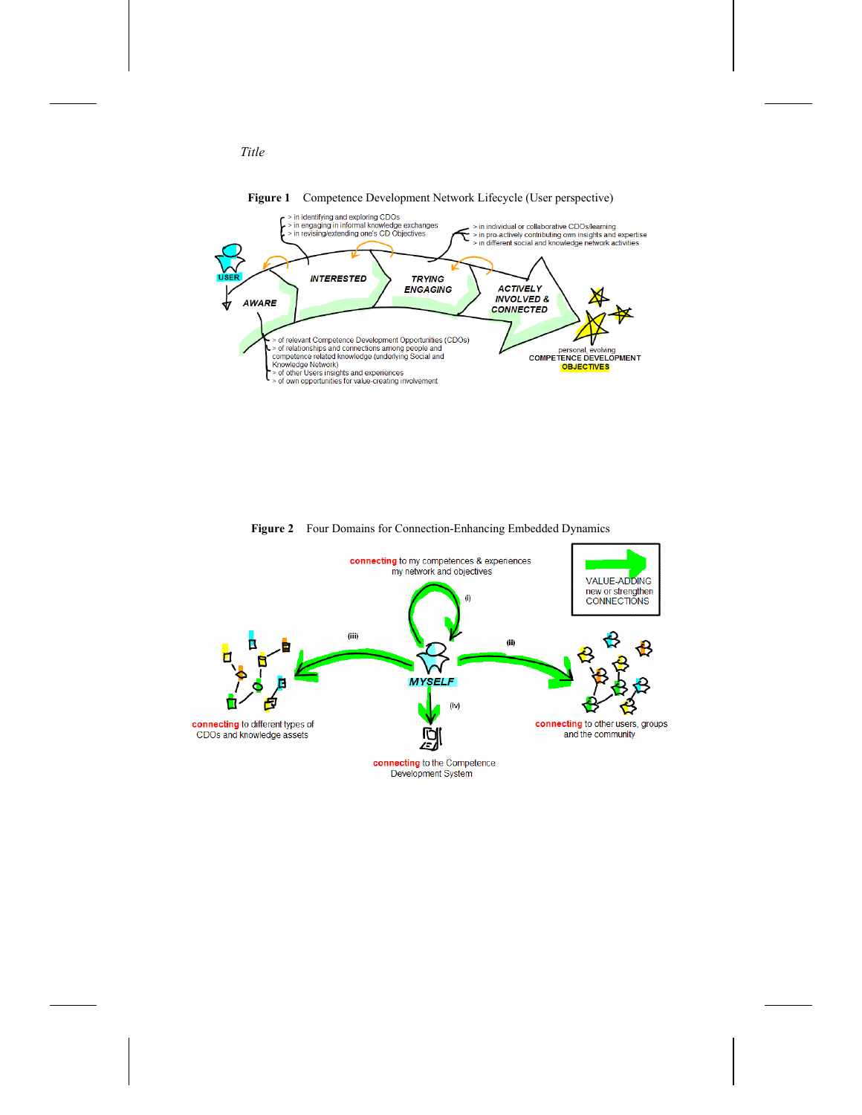

**Figure 2** Four Domains for Connection-Enhancing Embedded Dynamics

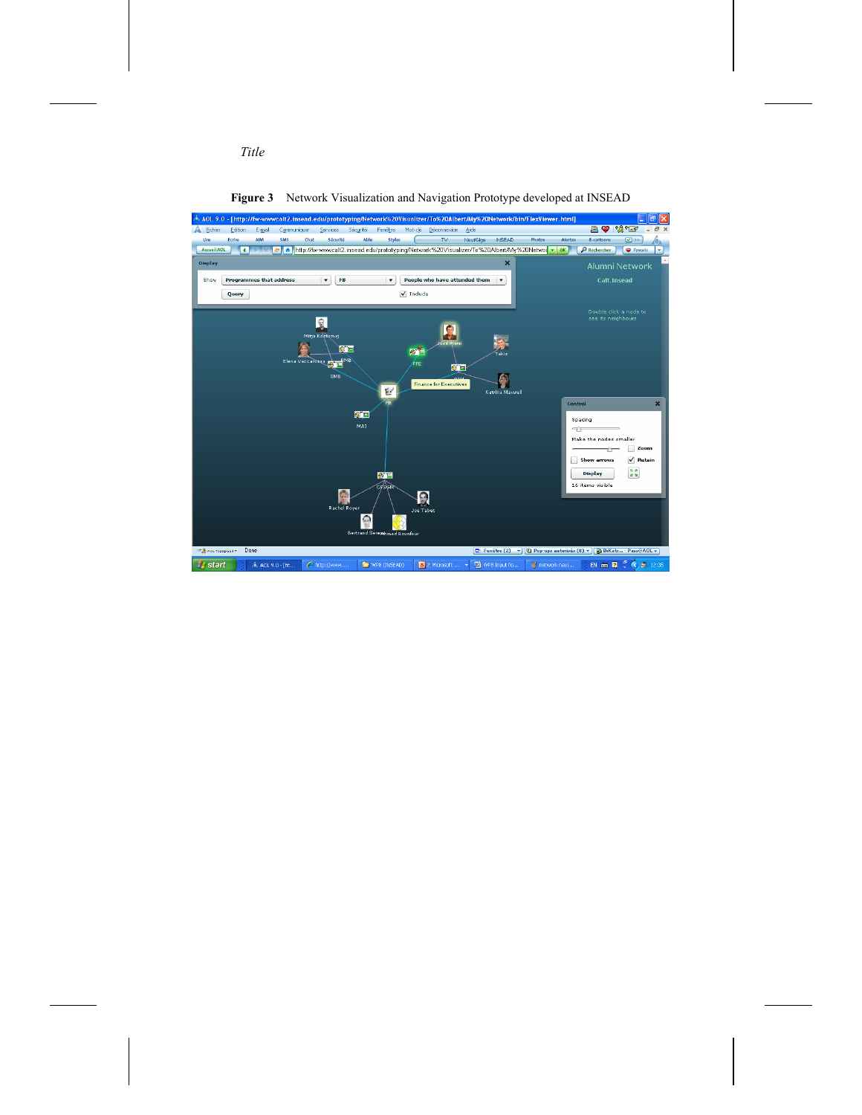

**Figure 3** Network Visualization and Navigation Prototype developed at INSEAD